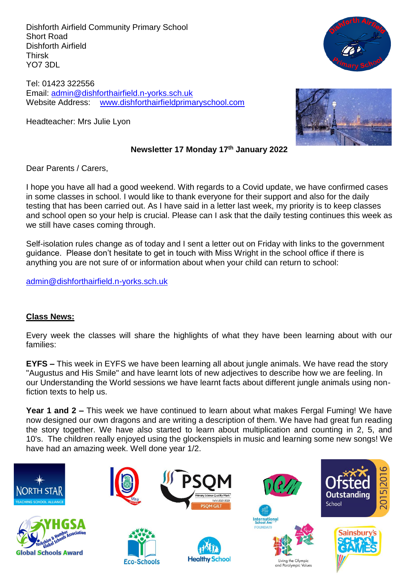Dishforth Airfield Community Primary School Short Road Dishforth Airfield Thirsk YO7 3DL

Tel: 01423 322556 Email: [admin@dishforthairfield.n-yorks.sch.uk](mailto:admin@dishforthairfield.n-yorks.sch.uk) Website Address: [www.dishforthairfieldprimaryschool.com](http://www.dishforthairfieldprimaryschool.com/)

Headteacher: Mrs Julie Lyon



## **Newsletter 17 Monday 17 th January 2022**

Dear Parents / Carers,

I hope you have all had a good weekend. With regards to a Covid update, we have confirmed cases in some classes in school. I would like to thank everyone for their support and also for the daily testing that has been carried out. As I have said in a letter last week, my priority is to keep classes and school open so your help is crucial. Please can I ask that the daily testing continues this week as we still have cases coming through.

Self-isolation rules change as of today and I sent a letter out on Friday with links to the government guidance. Please don't hesitate to get in touch with Miss Wright in the school office if there is anything you are not sure of or information about when your child can return to school:

[admin@dishforthairfield.n-yorks.sch.uk](mailto:admin@dishforthairfield.n-yorks.sch.uk)

### **Class News:**

Every week the classes will share the highlights of what they have been learning about with our families:

**EYFS –** This week in EYFS we have been learning all about jungle animals. We have read the story "Augustus and His Smile" and have learnt lots of new adjectives to describe how we are feeling. In our Understanding the World sessions we have learnt facts about different jungle animals using nonfiction texts to help us.

**Year 1 and 2 –** This week we have continued to learn about what makes Fergal Fuming! We have now designed our own dragons and are writing a description of them. We have had great fun reading the story together. We have also started to learn about multiplication and counting in 2, 5, and 10's. The children really enjoyed using the glockenspiels in music and learning some new songs! We have had an amazing week. Well done year 1/2.



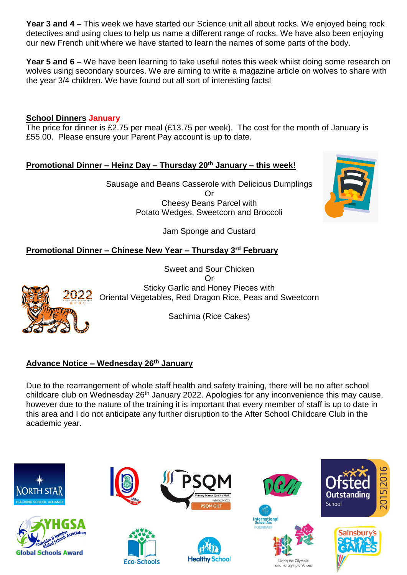**Year 3 and 4 –** This week we have started our Science unit all about rocks. We enjoyed being rock detectives and using clues to help us name a different range of rocks. We have also been enjoying our new French unit where we have started to learn the names of some parts of the body.

**Year 5 and 6 –** We have been learning to take useful notes this week whilst doing some research on wolves using secondary sources. We are aiming to write a magazine article on wolves to share with the year 3/4 children. We have found out all sort of interesting facts!

### **School Dinners January**

The price for dinner is £2.75 per meal (£13.75 per week). The cost for the month of January is £55.00. Please ensure your Parent Pay account is up to date.

### **Promotional Dinner – Heinz Day – Thursday 20th January – this week!**

Sausage and Beans Casserole with Delicious Dumplings Or Cheesy Beans Parcel with Potato Wedges, Sweetcorn and Broccoli

Jam Sponge and Custard

## **Promotional Dinner – Chinese New Year – Thursday 3rd February**



Sweet and Sour Chicken Or Sticky Garlic and Honey Pieces with Oriental Vegetables, Red Dragon Rice, Peas and Sweetcorn

Sachima (Rice Cakes)

## **Advance Notice – Wednesday 26th January**

Due to the rearrangement of whole staff health and safety training, there will be no after school childcare club on Wednesday 26<sup>th</sup> January 2022. Apologies for any inconvenience this may cause, however due to the nature of the training it is important that every member of staff is up to date in this area and I do not anticipate any further disruption to the After School Childcare Club in the academic year.



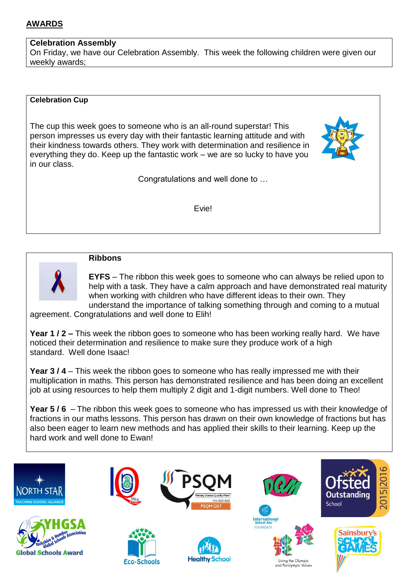# **AWARDS**

#### **Celebration Assembly**

On Friday, we have our Celebration Assembly. This week the following children were given our weekly awards;

#### **Celebration Cup**

The cup this week goes to someone who is an all-round superstar! This person impresses us every day with their fantastic learning attitude and with their kindness towards others. They work with determination and resilience in everything they do. Keep up the fantastic work – we are so lucky to have you in our class.



Congratulations and well done to …

Evie!



#### **Ribbons**

**EYFS** – The ribbon this week goes to someone who can always be relied upon to help with a task. They have a calm approach and have demonstrated real maturity when working with children who have different ideas to their own. They understand the importance of talking something through and coming to a mutual

agreement. Congratulations and well done to Elih!

**Year 1 / 2 –** This week the ribbon goes to someone who has been working really hard. We have noticed their determination and resilience to make sure they produce work of a high standard. Well done Isaac!

**Year 3/4** – This week the ribbon goes to someone who has really impressed me with their multiplication in maths. This person has demonstrated resilience and has been doing an excellent job at using resources to help them multiply 2 digit and 1-digit numbers. Well done to Theo!

**Year 5 / 6** – The ribbon this week goes to someone who has impressed us with their knowledge of fractions in our maths lessons. This person has drawn on their own knowledge of fractions but has also been eager to learn new methods and has applied their skills to their learning. Keep up the hard work and well done to Ewan!

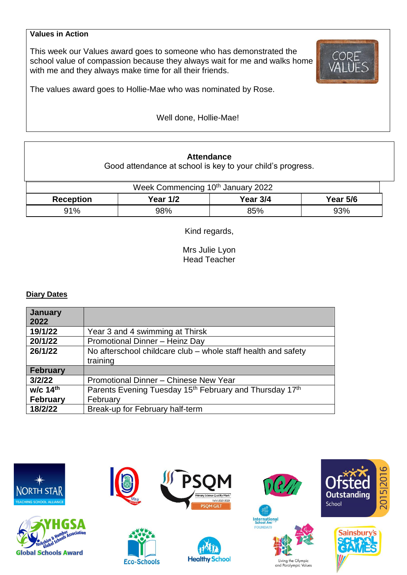#### **Values in Action**

This week our Values award goes to someone who has demonstrated the school value of compassion because they always wait for me and walks home with me and they always make time for all their friends.



The values award goes to Hollie-Mae who was nominated by Rose.

Well done, Hollie-Mae!

#### **Attendance**

Good attendance at school is key to your child's progress.

| Week Commencing 10 <sup>th</sup> January 2022 |          |          |                 |  |  |  |
|-----------------------------------------------|----------|----------|-----------------|--|--|--|
| <b>Reception</b>                              | Year 1/2 | Year 3/4 | <b>Year 5/6</b> |  |  |  |
| 91%                                           | 98%      | 85%      | 93%             |  |  |  |

Kind regards,

Mrs Julie Lyon Head Teacher

#### **Diary Dates**

| January<br>2022 |                                                                                 |  |  |  |
|-----------------|---------------------------------------------------------------------------------|--|--|--|
| 19/1/22         | Year 3 and 4 swimming at Thirsk                                                 |  |  |  |
| 20/1/22         | Promotional Dinner - Heinz Day                                                  |  |  |  |
| 26/1/22         | No afterschool childcare club – whole staff health and safety                   |  |  |  |
|                 | training                                                                        |  |  |  |
| <b>February</b> |                                                                                 |  |  |  |
| 3/2/22          | Promotional Dinner - Chinese New Year                                           |  |  |  |
| w/c 14th        | Parents Evening Tuesday 15 <sup>th</sup> February and Thursday 17 <sup>th</sup> |  |  |  |
| <b>February</b> | February                                                                        |  |  |  |
| 18/2/22         | Break-up for February half-term                                                 |  |  |  |